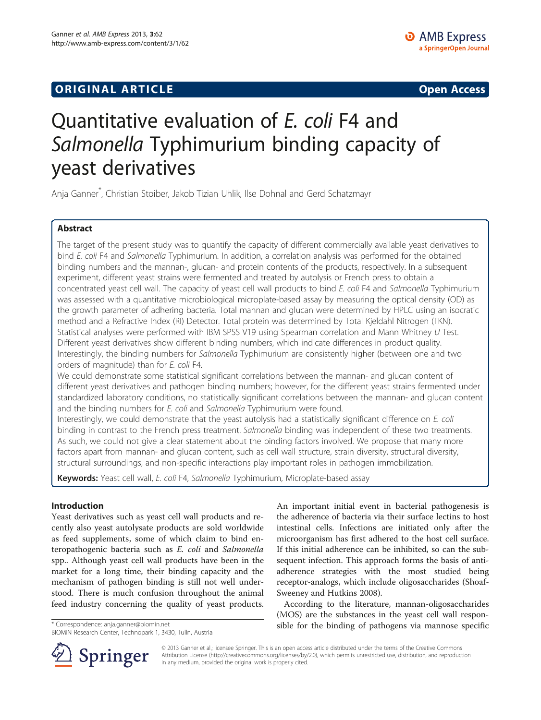# **ORIGINAL ARTICLE CONSUMING A LIGACION** CONSUMING A LIGACION CONSUMING A LIGACION CONSUMING A LIGACION CONSUMING A LIGACION CONSUMING A LIGACION CONSUMING A LIGACION CONSUMING A LIGACION CONSUMING A LIGACION CONSUMING A

# Quantitative evaluation of E. coli F4 and Salmonella Typhimurium binding capacity of yeast derivatives

Anja Ganner\* , Christian Stoiber, Jakob Tizian Uhlik, Ilse Dohnal and Gerd Schatzmayr

# Abstract

The target of the present study was to quantify the capacity of different commercially available yeast derivatives to bind E. coli F4 and Salmonella Typhimurium. In addition, a correlation analysis was performed for the obtained binding numbers and the mannan-, glucan- and protein contents of the products, respectively. In a subsequent experiment, different yeast strains were fermented and treated by autolysis or French press to obtain a concentrated yeast cell wall. The capacity of yeast cell wall products to bind E. coli F4 and Salmonella Typhimurium was assessed with a quantitative microbiological microplate-based assay by measuring the optical density (OD) as the growth parameter of adhering bacteria. Total mannan and glucan were determined by HPLC using an isocratic method and a Refractive Index (RI) Detector. Total protein was determined by Total Kjeldahl Nitrogen (TKN). Statistical analyses were performed with IBM SPSS V19 using Spearman correlation and Mann Whitney U Test. Different yeast derivatives show different binding numbers, which indicate differences in product quality. Interestingly, the binding numbers for Salmonella Typhimurium are consistently higher (between one and two orders of magnitude) than for E. coli F4.

We could demonstrate some statistical significant correlations between the mannan- and glucan content of different yeast derivatives and pathogen binding numbers; however, for the different yeast strains fermented under standardized laboratory conditions, no statistically significant correlations between the mannan- and glucan content and the binding numbers for E. coli and Salmonella Typhimurium were found.

Interestingly, we could demonstrate that the yeast autolysis had a statistically significant difference on E. coli binding in contrast to the French press treatment. Salmonella binding was independent of these two treatments. As such, we could not give a clear statement about the binding factors involved. We propose that many more factors apart from mannan- and glucan content, such as cell wall structure, strain diversity, structural diversity, structural surroundings, and non-specific interactions play important roles in pathogen immobilization.

Keywords: Yeast cell wall, E. coli F4, Salmonella Typhimurium, Microplate-based assay

## Introduction

Yeast derivatives such as yeast cell wall products and recently also yeast autolysate products are sold worldwide as feed supplements, some of which claim to bind enteropathogenic bacteria such as E. coli and Salmonella spp.. Although yeast cell wall products have been in the market for a long time, their binding capacity and the mechanism of pathogen binding is still not well understood. There is much confusion throughout the animal feed industry concerning the quality of yeast products.

An important initial event in bacterial pathogenesis is the adherence of bacteria via their surface lectins to host intestinal cells. Infections are initiated only after the microorganism has first adhered to the host cell surface. If this initial adherence can be inhibited, so can the subsequent infection. This approach forms the basis of antiadherence strategies with the most studied being receptor-analogs, which include oligosaccharides (Shoaf-Sweeney and Hutkins [2008\)](#page-6-0).

According to the literature, mannan-oligosaccharides (MOS) are the substances in the yeast cell wall respon\* Correspondence: [anja.ganner@biomin.net](mailto:anja.ganner@biomin.net) sible for the binding of pathogens via mannose specific



© 2013 Ganner et al.; licensee Springer. This is an open access article distributed under the terms of the Creative Commons Attribution License [\(http://creativecommons.org/licenses/by/2.0\)](http://creativecommons.org/licenses/by/2.0), which permits unrestricted use, distribution, and reproduction in any medium, provided the original work is properly cited.

BIOMIN Research Center, Technopark 1, 3430, Tulln, Austria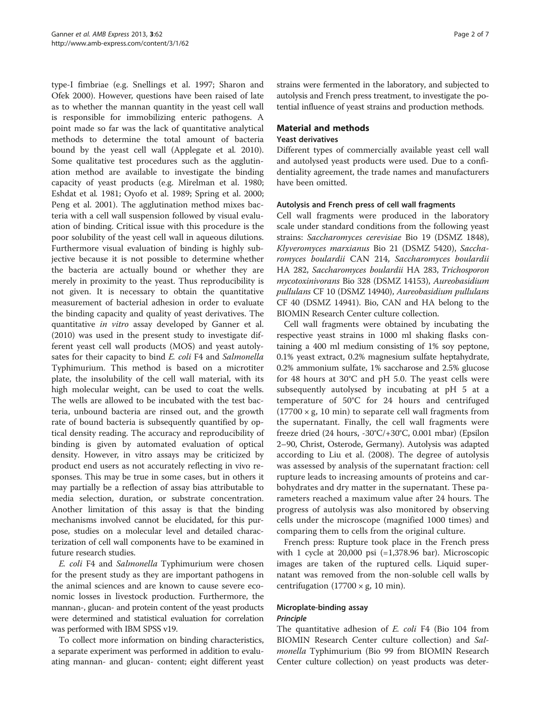type-I fimbriae (e.g. Snellings et al. [1997](#page-6-0); Sharon and Ofek [2000\)](#page-6-0). However, questions have been raised of late as to whether the mannan quantity in the yeast cell wall is responsible for immobilizing enteric pathogens. A point made so far was the lack of quantitative analytical methods to determine the total amount of bacteria bound by the yeast cell wall (Applegate et al. [2010](#page-5-0)). Some qualitative test procedures such as the agglutination method are available to investigate the binding capacity of yeast products (e.g. Mirelman et al. [1980](#page-5-0); Eshdat et al. [1981](#page-5-0); Oyofo et al. [1989](#page-6-0); Spring et al. [2000](#page-6-0); Peng et al. [2001](#page-6-0)). The agglutination method mixes bacteria with a cell wall suspension followed by visual evaluation of binding. Critical issue with this procedure is the poor solubility of the yeast cell wall in aqueous dilutions. Furthermore visual evaluation of binding is highly subjective because it is not possible to determine whether the bacteria are actually bound or whether they are merely in proximity to the yeast. Thus reproducibility is not given. It is necessary to obtain the quantitative measurement of bacterial adhesion in order to evaluate the binding capacity and quality of yeast derivatives. The quantitative in vitro assay developed by Ganner et al. ([2010](#page-5-0)) was used in the present study to investigate different yeast cell wall products (MOS) and yeast autolysates for their capacity to bind E. coli F4 and Salmonella Typhimurium. This method is based on a microtiter plate, the insolubility of the cell wall material, with its high molecular weight, can be used to coat the wells. The wells are allowed to be incubated with the test bacteria, unbound bacteria are rinsed out, and the growth rate of bound bacteria is subsequently quantified by optical density reading. The accuracy and reproducibility of binding is given by automated evaluation of optical density. However, in vitro assays may be criticized by product end users as not accurately reflecting in vivo responses. This may be true in some cases, but in others it may partially be a reflection of assay bias attributable to media selection, duration, or substrate concentration. Another limitation of this assay is that the binding mechanisms involved cannot be elucidated, for this purpose, studies on a molecular level and detailed characterization of cell wall components have to be examined in future research studies.

E. coli F4 and Salmonella Typhimurium were chosen for the present study as they are important pathogens in the animal sciences and are known to cause severe economic losses in livestock production. Furthermore, the mannan-, glucan- and protein content of the yeast products were determined and statistical evaluation for correlation was performed with IBM SPSS v19.

To collect more information on binding characteristics, a separate experiment was performed in addition to evaluating mannan- and glucan- content; eight different yeast

strains were fermented in the laboratory, and subjected to autolysis and French press treatment, to investigate the potential influence of yeast strains and production methods.

## Material and methods

#### Yeast derivatives

Different types of commercially available yeast cell wall and autolysed yeast products were used. Due to a confidentiality agreement, the trade names and manufacturers have been omitted.

#### Autolysis and French press of cell wall fragments

Cell wall fragments were produced in the laboratory scale under standard conditions from the following yeast strains: Saccharomyces cerevisiae Bio 19 (DSMZ 1848), Klyveromyces marxianus Bio 21 (DSMZ 5420), Saccharomyces boulardii CAN 214, Saccharomyces boulardii HA 282, Saccharomyces boulardii HA 283, Trichosporon mycotoxinivorans Bio 328 (DSMZ 14153), Aureobasidium pullulans CF 10 (DSMZ 14940), Aureobasidium pullulans CF 40 (DSMZ 14941). Bio, CAN and HA belong to the BIOMIN Research Center culture collection.

Cell wall fragments were obtained by incubating the respective yeast strains in 1000 ml shaking flasks containing a 400 ml medium consisting of 1% soy peptone, 0.1% yeast extract, 0.2% magnesium sulfate heptahydrate, 0.2% ammonium sulfate, 1% saccharose and 2.5% glucose for 48 hours at 30°C and pH 5.0. The yeast cells were subsequently autolysed by incubating at pH 5 at a temperature of 50°C for 24 hours and centrifuged  $(17700 \times g, 10 \text{ min})$  to separate cell wall fragments from the supernatant. Finally, the cell wall fragments were freeze dried (24 hours, -30°C/+30°C, 0.001 mbar) (Epsilon 2–90, Christ, Osterode, Germany). Autolysis was adapted according to Liu et al. ([2008\)](#page-5-0). The degree of autolysis was assessed by analysis of the supernatant fraction: cell rupture leads to increasing amounts of proteins and carbohydrates and dry matter in the supernatant. These parameters reached a maximum value after 24 hours. The progress of autolysis was also monitored by observing cells under the microscope (magnified 1000 times) and comparing them to cells from the original culture.

French press: Rupture took place in the French press with 1 cycle at  $20,000$  psi  $(=1,378.96$  bar). Microscopic images are taken of the ruptured cells. Liquid supernatant was removed from the non-soluble cell walls by centrifugation (17700  $\times$  g, 10 min).

#### Microplate-binding assay Principle

The quantitative adhesion of *E. coli* F4 (Bio 104 from BIOMIN Research Center culture collection) and Salmonella Typhimurium (Bio 99 from BIOMIN Research Center culture collection) on yeast products was deter-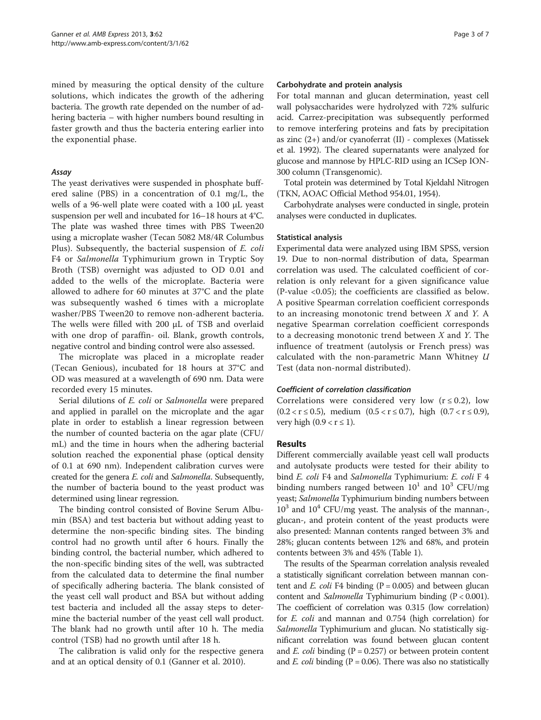mined by measuring the optical density of the culture solutions, which indicates the growth of the adhering bacteria. The growth rate depended on the number of adhering bacteria – with higher numbers bound resulting in faster growth and thus the bacteria entering earlier into the exponential phase.

#### Assay

The yeast derivatives were suspended in phosphate buffered saline (PBS) in a concentration of 0.1 mg/L, the wells of a 96-well plate were coated with a 100 μL yeast suspension per well and incubated for 16–18 hours at 4°C. The plate was washed three times with PBS Tween20 using a microplate washer (Tecan 5082 M8/4R Columbus Plus). Subsequently, the bacterial suspension of E. coli F4 or Salmonella Typhimurium grown in Tryptic Soy Broth (TSB) overnight was adjusted to OD 0.01 and added to the wells of the microplate. Bacteria were allowed to adhere for 60 minutes at 37°C and the plate was subsequently washed 6 times with a microplate washer/PBS Tween20 to remove non-adherent bacteria. The wells were filled with 200 μL of TSB and overlaid with one drop of paraffin- oil. Blank, growth controls, negative control and binding control were also assessed.

The microplate was placed in a microplate reader (Tecan Genious), incubated for 18 hours at 37°C and OD was measured at a wavelength of 690 nm. Data were recorded every 15 minutes.

Serial dilutions of E. coli or Salmonella were prepared and applied in parallel on the microplate and the agar plate in order to establish a linear regression between the number of counted bacteria on the agar plate (CFU/ mL) and the time in hours when the adhering bacterial solution reached the exponential phase (optical density of 0.1 at 690 nm). Independent calibration curves were created for the genera E. coli and Salmonella. Subsequently, the number of bacteria bound to the yeast product was determined using linear regression.

The binding control consisted of Bovine Serum Albumin (BSA) and test bacteria but without adding yeast to determine the non-specific binding sites. The binding control had no growth until after 6 hours. Finally the binding control, the bacterial number, which adhered to the non-specific binding sites of the well, was subtracted from the calculated data to determine the final number of specifically adhering bacteria. The blank consisted of the yeast cell wall product and BSA but without adding test bacteria and included all the assay steps to determine the bacterial number of the yeast cell wall product. The blank had no growth until after 10 h. The media control (TSB) had no growth until after 18 h.

The calibration is valid only for the respective genera and at an optical density of 0.1 (Ganner et al. [2010\)](#page-5-0).

#### Carbohydrate and protein analysis

For total mannan and glucan determination, yeast cell wall polysaccharides were hydrolyzed with 72% sulfuric acid. Carrez-precipitation was subsequently performed to remove interfering proteins and fats by precipitation as zinc (2+) and/or cyanoferrat (II) - complexes (Matissek et al. [1992](#page-5-0)). The cleared supernatants were analyzed for glucose and mannose by HPLC-RID using an ICSep ION-300 column (Transgenomic).

Total protein was determined by Total Kjeldahl Nitrogen (TKN, AOAC Official Method 954.01, 1954).

Carbohydrate analyses were conducted in single, protein analyses were conducted in duplicates.

#### Statistical analysis

Experimental data were analyzed using IBM SPSS, version 19. Due to non-normal distribution of data, Spearman correlation was used. The calculated coefficient of correlation is only relevant for a given significance value (P-value <0.05); the coefficients are classified as below. A positive Spearman correlation coefficient corresponds to an increasing monotonic trend between X and Y. A negative Spearman correlation coefficient corresponds to a decreasing monotonic trend between  $X$  and  $Y$ . The influence of treatment (autolysis or French press) was calculated with the non-parametric Mann Whitney  $U$ Test (data non-normal distributed).

#### Coefficient of correlation classification

Correlations were considered very low  $(r \le 0.2)$ , low  $(0.2 < r \le 0.5)$ , medium  $(0.5 < r \le 0.7)$ , high  $(0.7 < r \le 0.9)$ , very high  $(0.9 < r \le 1)$ .

#### Results

Different commercially available yeast cell wall products and autolysate products were tested for their ability to bind *E. coli* F4 and *Salmonella* Typhimurium: *E. coli* F 4 binding numbers ranged between  $10^1$  and  $10^3$  CFU/mg yeast; Salmonella Typhimurium binding numbers between  $10^3$  and  $10^4$  CFU/mg yeast. The analysis of the mannan-, glucan-, and protein content of the yeast products were also presented: Mannan contents ranged between 3% and 28%; glucan contents between 12% and 68%, and protein contents between 3% and 45% (Table [1](#page-3-0)).

The results of the Spearman correlation analysis revealed a statistically significant correlation between mannan content and  $E.$  coli F4 binding (P = 0.005) and between glucan content and Salmonella Typhimurium binding (P < 0.001). The coefficient of correlation was 0.315 (low correlation) for E. coli and mannan and 0.754 (high correlation) for Salmonella Typhimurium and glucan. No statistically significant correlation was found between glucan content and *E. coli* binding ( $P = 0.257$ ) or between protein content and  $E.$  coli binding (P = 0.06). There was also no statistically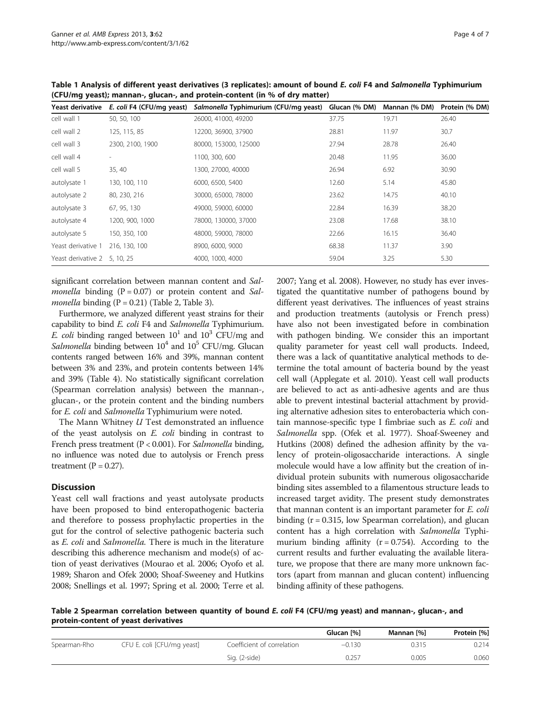| Yeast derivative<br>E. coli F4 (CFU/mg yeast) |                  | Salmonella Typhimurium (CFU/mg yeast) Glucan (% DM) |       | Mannan (% DM) | Protein (% DM) |
|-----------------------------------------------|------------------|-----------------------------------------------------|-------|---------------|----------------|
| cell wall 1                                   | 50, 50, 100      | 26000, 41000, 49200                                 | 37.75 | 19.71         | 26.40          |
| cell wall 2                                   | 125, 115, 85     | 12200, 36900, 37900                                 | 28.81 | 11.97         | 30.7           |
| cell wall 3                                   | 2300, 2100, 1900 | 80000, 153000, 125000                               | 27.94 | 28.78         | 26.40          |
| cell wall 4                                   |                  | 1100, 300, 600                                      | 20.48 | 11.95         | 36.00          |
| cell wall 5                                   | 35, 40           | 1300, 27000, 40000                                  | 26.94 | 6.92          | 30.90          |
| autolysate 1                                  | 130, 100, 110    | 6000, 6500, 5400                                    | 12.60 | 5.14          | 45.80          |
| autolysate 2                                  | 80, 230, 216     | 30000, 65000, 78000                                 | 23.62 | 14.75         | 40.10          |
| autolysate 3                                  | 67, 95, 130      | 49000, 59000, 60000                                 | 22.84 | 16.39         | 38.20          |
| autolysate 4                                  | 1200, 900, 1000  | 78000, 130000, 37000                                | 23.08 | 17.68         | 38.10          |
| autolysate 5                                  | 150, 350, 100    | 48000, 59000, 78000                                 | 22.66 | 16.15         | 36.40          |
| Yeast derivative 1                            | 216, 130, 100    | 8900, 6000, 9000                                    | 68.38 | 11.37         | 3.90           |
| Yeast derivative 2 5, 10, 25                  |                  | 4000, 1000, 4000                                    | 59.04 | 3.25          | 5.30           |

<span id="page-3-0"></span>Table 1 Analysis of different yeast derivatives (3 replicates): amount of bound E. coli F4 and Salmonella Typhimurium (CFU/mg yeast); mannan-, glucan-, and protein-content (in % of dry matter)

significant correlation between mannan content and Sal*monella* binding  $(P = 0.07)$  or protein content and Sal*monella* binding  $(P = 0.21)$  (Table 2, Table [3](#page-4-0)).

Furthermore, we analyzed different yeast strains for their capability to bind E. coli F4 and Salmonella Typhimurium. E. coli binding ranged between  $10^1$  and  $10^3$  CFU/mg and Salmonella binding between  $10^4$  and  $10^5$  CFU/mg. Glucan contents ranged between 16% and 39%, mannan content between 3% and 23%, and protein contents between 14% and 39% (Table [4](#page-4-0)). No statistically significant correlation (Spearman correlation analysis) between the mannan-, glucan-, or the protein content and the binding numbers for *E. coli* and *Salmonella* Typhimurium were noted.

The Mann Whitney U Test demonstrated an influence of the yeast autolysis on E. coli binding in contrast to French press treatment (P < 0.001). For Salmonella binding, no influence was noted due to autolysis or French press treatment  $(P = 0.27)$ .

#### **Discussion**

Yeast cell wall fractions and yeast autolysate products have been proposed to bind enteropathogenic bacteria and therefore to possess prophylactic properties in the gut for the control of selective pathogenic bacteria such as E. coli and Salmonella. There is much in the literature describing this adherence mechanism and mode(s) of action of yeast derivatives (Mourao et al. [2006](#page-5-0); Oyofo et al. [1989;](#page-6-0) Sharon and Ofek [2000](#page-6-0); Shoaf-Sweeney and Hutkins [2008;](#page-6-0) Snellings et al. [1997;](#page-6-0) Spring et al. [2000;](#page-6-0) Terre et al. [2007;](#page-6-0) Yang et al. [2008\)](#page-6-0). However, no study has ever investigated the quantitative number of pathogens bound by different yeast derivatives. The influences of yeast strains and production treatments (autolysis or French press) have also not been investigated before in combination with pathogen binding. We consider this an important quality parameter for yeast cell wall products. Indeed, there was a lack of quantitative analytical methods to determine the total amount of bacteria bound by the yeast cell wall (Applegate et al. [2010\)](#page-5-0). Yeast cell wall products are believed to act as anti-adhesive agents and are thus able to prevent intestinal bacterial attachment by providing alternative adhesion sites to enterobacteria which contain mannose-specific type I fimbriae such as E. coli and Salmonella spp. (Ofek et al. [1977\)](#page-5-0). Shoaf-Sweeney and Hutkins ([2008\)](#page-6-0) defined the adhesion affinity by the valency of protein-oligosaccharide interactions. A single molecule would have a low affinity but the creation of individual protein subunits with numerous oligosaccharide binding sites assembled to a filamentous structure leads to increased target avidity. The present study demonstrates that mannan content is an important parameter for E. coli binding  $(r = 0.315)$ , low Spearman correlation), and glucan content has a high correlation with Salmonella Typhimurium binding affinity  $(r = 0.754)$ . According to the current results and further evaluating the available literature, we propose that there are many more unknown factors (apart from mannan and glucan content) influencing binding affinity of these pathogens.

Table 2 Spearman correlation between quantity of bound E. coli F4 (CFU/mg yeast) and mannan-, glucan-, and protein-content of yeast derivatives

|              |                            |                            | Glucan [%] | Mannan [%] | Protein [%] |
|--------------|----------------------------|----------------------------|------------|------------|-------------|
| Spearman-Rho | CFU E. coli [CFU/mg yeast] | Coefficient of correlation | $-0.130$   | 0.315      | 0.214       |
|              |                            | Sig. (2-side)              | 0.257      | 0.005      | 0.060       |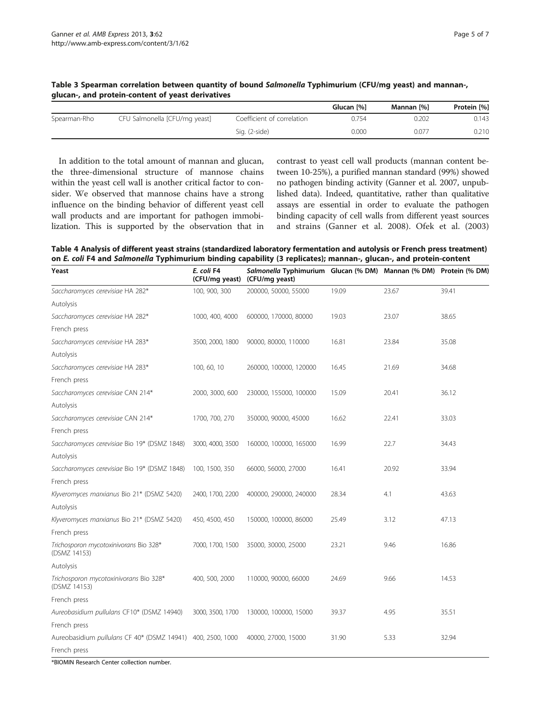|              |                               |                            | Glucan [%] | Mannan [%] | Protein [%] |
|--------------|-------------------------------|----------------------------|------------|------------|-------------|
| Spearman-Rho | CFU Salmonella [CFU/mg yeast] | Coefficient of correlation | 0.754      | 0.202      | 0.143       |
|              |                               | Sig. (2-side)              | 0.000      | 0.077      | 0.210       |

<span id="page-4-0"></span>Table 3 Spearman correlation between quantity of bound Salmonella Typhimurium (CFU/mg yeast) and mannan-, glucan-, and protein-content of yeast derivatives

In addition to the total amount of mannan and glucan, the three-dimensional structure of mannose chains within the yeast cell wall is another critical factor to consider. We observed that mannose chains have a strong influence on the binding behavior of different yeast cell wall products and are important for pathogen immobilization. This is supported by the observation that in contrast to yeast cell wall products (mannan content between 10-25%), a purified mannan standard (99%) showed no pathogen binding activity (Ganner et al. 2007, unpublished data). Indeed, quantitative, rather than qualitative assays are essential in order to evaluate the pathogen binding capacity of cell walls from different yeast sources and strains (Ganner et al. [2008\)](#page-5-0). Ofek et al. [\(2003](#page-5-0))

Table 4 Analysis of different yeast strains (standardized laboratory fermentation and autolysis or French press treatment) on E. coli F4 and Salmonella Typhimurium binding capability (3 replicates); mannan-, glucan-, and protein-content

| Yeast                                                       | E. coli F4<br>(CFU/mg yeast) | Salmonella Typhimurium Glucan (% DM) Mannan (% DM) Protein (% DM)<br>(CFU/mg yeast) |       |       |       |
|-------------------------------------------------------------|------------------------------|-------------------------------------------------------------------------------------|-------|-------|-------|
| Saccharomyces cerevisiae HA 282*                            | 100, 900, 300                | 200000, 50000, 55000                                                                | 19.09 | 23.67 | 39.41 |
| Autolysis                                                   |                              |                                                                                     |       |       |       |
| Saccharomyces cerevisiae HA 282*                            | 1000, 400, 4000              | 600000, 170000, 80000                                                               | 19.03 | 23.07 | 38.65 |
| French press                                                |                              |                                                                                     |       |       |       |
| Saccharomyces cerevisiae HA 283*                            | 3500, 2000, 1800             | 90000, 80000, 110000                                                                | 16.81 | 23.84 | 35.08 |
| Autolysis                                                   |                              |                                                                                     |       |       |       |
| Saccharomyces cerevisiae HA 283*                            | 100, 60, 10                  | 260000, 100000, 120000                                                              | 16.45 | 21.69 | 34.68 |
| French press                                                |                              |                                                                                     |       |       |       |
| Saccharomyces cerevisiae CAN 214*                           | 2000, 3000, 600              | 230000, 155000, 100000                                                              | 15.09 | 20.41 | 36.12 |
| Autolysis                                                   |                              |                                                                                     |       |       |       |
| Saccharomyces cerevisiae CAN 214*                           | 1700, 700, 270               | 350000, 90000, 45000                                                                | 16.62 | 22.41 | 33.03 |
| French press                                                |                              |                                                                                     |       |       |       |
| Saccharomyces cerevisiae Bio 19* (DSMZ 1848)                | 3000, 4000, 3500             | 160000, 100000, 165000                                                              | 16.99 | 22.7  | 34.43 |
| Autolysis                                                   |                              |                                                                                     |       |       |       |
| Saccharomyces cerevisiae Bio 19* (DSMZ 1848)                | 100, 1500, 350               | 66000, 56000, 27000                                                                 | 16.41 | 20.92 | 33.94 |
| French press                                                |                              |                                                                                     |       |       |       |
| Klyveromyces marxianus Bio 21* (DSMZ 5420)                  | 2400, 1700, 2200             | 400000, 290000, 240000                                                              | 28.34 | 4.1   | 43.63 |
| Autolysis                                                   |                              |                                                                                     |       |       |       |
| Klyveromyces marxianus Bio 21* (DSMZ 5420)                  | 450, 4500, 450               | 150000, 100000, 86000                                                               | 25.49 | 3.12  | 47.13 |
| French press                                                |                              |                                                                                     |       |       |       |
| Trichosporon mycotoxinivorans Bio 328*<br>(DSMZ 14153)      | 7000, 1700, 1500             | 35000, 30000, 25000                                                                 | 23.21 | 9.46  | 16.86 |
| Autolysis                                                   |                              |                                                                                     |       |       |       |
| Trichosporon mycotoxinivorans Bio 328*<br>(DSMZ 14153)      | 400, 500, 2000               | 110000, 90000, 66000                                                                | 24.69 | 9.66  | 14.53 |
| French press                                                |                              |                                                                                     |       |       |       |
| Aureobasidium pullulans CF10* (DSMZ 14940)                  | 3000, 3500, 1700             | 130000, 100000, 15000                                                               | 39.37 | 4.95  | 35.51 |
| French press                                                |                              |                                                                                     |       |       |       |
| Aureobasidium pullulans CF 40* (DSMZ 14941) 400, 2500, 1000 |                              | 40000, 27000, 15000                                                                 | 31.90 | 5.33  | 32.94 |
| French press                                                |                              |                                                                                     |       |       |       |

\*BIOMIN Research Center collection number.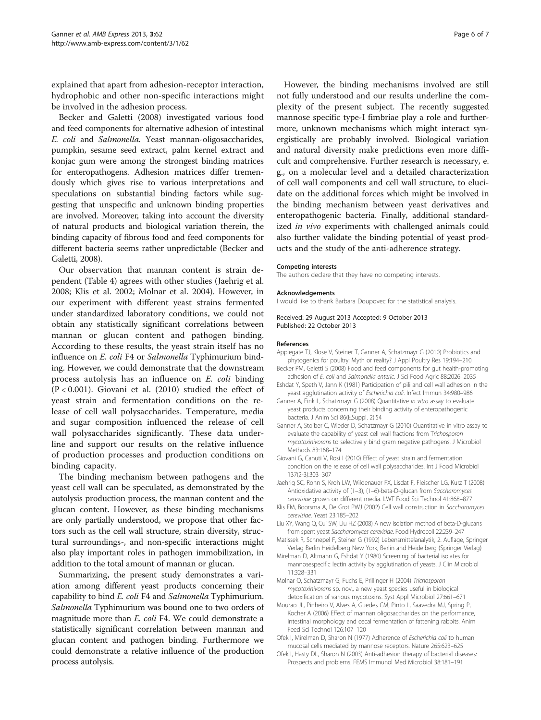<span id="page-5-0"></span>explained that apart from adhesion-receptor interaction, hydrophobic and other non-specific interactions might be involved in the adhesion process.

Becker and Galetti (2008) investigated various food and feed components for alternative adhesion of intestinal E. coli and Salmonella. Yeast mannan-oligosaccharides, pumpkin, sesame seed extract, palm kernel extract and konjac gum were among the strongest binding matrices for enteropathogens. Adhesion matrices differ tremendously which gives rise to various interpretations and speculations on substantial binding factors while suggesting that unspecific and unknown binding properties are involved. Moreover, taking into account the diversity of natural products and biological variation therein, the binding capacity of fibrous food and feed components for different bacteria seems rather unpredictable (Becker and Galetti, 2008).

Our observation that mannan content is strain dependent (Table [4\)](#page-4-0) agrees with other studies (Jaehrig et al. 2008; Klis et al. 2002; Molnar et al. 2004). However, in our experiment with different yeast strains fermented under standardized laboratory conditions, we could not obtain any statistically significant correlations between mannan or glucan content and pathogen binding. According to these results, the yeast strain itself has no influence on E. coli F4 or Salmonella Typhimurium binding. However, we could demonstrate that the downstream process autolysis has an influence on E. coli binding (P < 0.001). Giovani et al. (2010) studied the effect of yeast strain and fermentation conditions on the release of cell wall polysaccharides. Temperature, media and sugar composition influenced the release of cell wall polysaccharides significantly. These data underline and support our results on the relative influence of production processes and production conditions on binding capacity.

The binding mechanism between pathogens and the yeast cell wall can be speculated, as demonstrated by the autolysis production process, the mannan content and the glucan content. However, as these binding mechanisms are only partially understood, we propose that other factors such as the cell wall structure, strain diversity, structural surroundings-, and non-specific interactions might also play important roles in pathogen immobilization, in addition to the total amount of mannan or glucan.

Summarizing, the present study demonstrates a variation among different yeast products concerning their capability to bind E. coli F4 and Salmonella Typhimurium. Salmonella Typhimurium was bound one to two orders of magnitude more than *E. coli* F4. We could demonstrate a statistically significant correlation between mannan and glucan content and pathogen binding. Furthermore we could demonstrate a relative influence of the production process autolysis.

However, the binding mechanisms involved are still not fully understood and our results underline the complexity of the present subject. The recently suggested mannose specific type-I fimbriae play a role and furthermore, unknown mechanisms which might interact synergistically are probably involved. Biological variation and natural diversity make predictions even more difficult and comprehensive. Further research is necessary, e. g., on a molecular level and a detailed characterization of cell wall components and cell wall structure, to elucidate on the additional forces which might be involved in the binding mechanism between yeast derivatives and enteropathogenic bacteria. Finally, additional standardized in vivo experiments with challenged animals could also further validate the binding potential of yeast products and the study of the anti-adherence strategy.

#### Competing interests

The authors declare that they have no competing interests.

#### Acknowledgements

I would like to thank Barbara Doupovec for the statistical analysis.

Received: 29 August 2013 Accepted: 9 October 2013 Published: 22 October 2013

#### References

- Applegate TJ, Klose V, Steiner T, Ganner A, Schatzmayr G (2010) Probiotics and phytogenics for poultry: Myth or reality? J Appl Poultry Res 19:194–210
- Becker PM, Galetti S (2008) Food and feed components for gut health-promoting adhesion of E. coli and Salmonella enteric. J Sci Food Agric 88:2026–2035
- Eshdat Y, Speth V, Jann K (1981) Participation of pili and cell wall adhesion in the yeast agglutination activity of Escherichia coli. Infect Immun 34:980–986
- Ganner A, Fink L, Schatzmayr G (2008) Quantitative in vitro assay to evaluate yeast products concerning their binding activity of enteropathogenic bacteria. J Anim Sci 86(E.Suppl. 2):54
- Ganner A, Stoiber C, Wieder D, Schatzmayr G (2010) Quantitative in vitro assay to evaluate the capability of yeast cell wall fractions from Trichosporon mycotoxinivorans to selectively bind gram negative pathogens. J Microbiol Methods 83:168–174
- Giovani G, Canuti V, Rosi I (2010) Effect of yeast strain and fermentation condition on the release of cell wall polysaccharides. Int J Food Microbiol 137(2-3):303–307
- Jaehrig SC, Rohn S, Kroh LW, Wildenauer FX, Lisdat F, Fleischer LG, Kurz T (2008) Antioxidative activity of (1–3), (1–6)-beta-D-glucan from Saccharomyces cerevisiae grown on different media. LWT Food Sci Technol 41:868–877
- Klis FM, Boorsma A, De Grot PWJ (2002) Cell wall construction in Saccharomyces cerevisiae. Yeast 23:185–202
- Liu XY, Wang Q, Cui SW, Liu HZ (2008) A new isolation method of beta-D-glucans from spent yeast Saccharomyces cerevisiae. Food Hydrocoll 22:239–247
- Matissek R, Schnepel F, Steiner G (1992) Lebensmittelanalytik, 2. Auflage, Springer Verlag Berlin Heidelberg New York, Berlin and Heidelberg (Springer Verlag)
- Mirelman D, Altmann G, Eshdat Y (1980) Screening of bacterial isolates for mannosespecific lectin activity by agglutination of yeasts. J Clin Microbiol 11:328–331
- Molnar O, Schatzmayr G, Fuchs E, Prillinger H (2004) Trichosporon mycotoxinivorans sp. nov., a new yeast species useful in biological detoxification of various mycotoxins. Syst Appl Microbiol 27:661–671
- Mourao JL, Pinheiro V, Alves A, Guedes CM, Pinto L, Saavedra MJ, Spring P, Kocher A (2006) Effect of mannan oligosaccharides on the performance, intestinal morphology and cecal fermentation of fattening rabbits. Anim Feed Sci Technol 126:107–120
- Ofek I, Mirelman D, Sharon N (1977) Adherence of Escherichia coli to human mucosal cells mediated by mannose receptors. Nature 265:623–625
- Ofek I, Hasty DL, Sharon N (2003) Anti-adhesion therapy of bacterial diseases: Prospects and problems. FEMS Immunol Med Microbiol 38:181–191